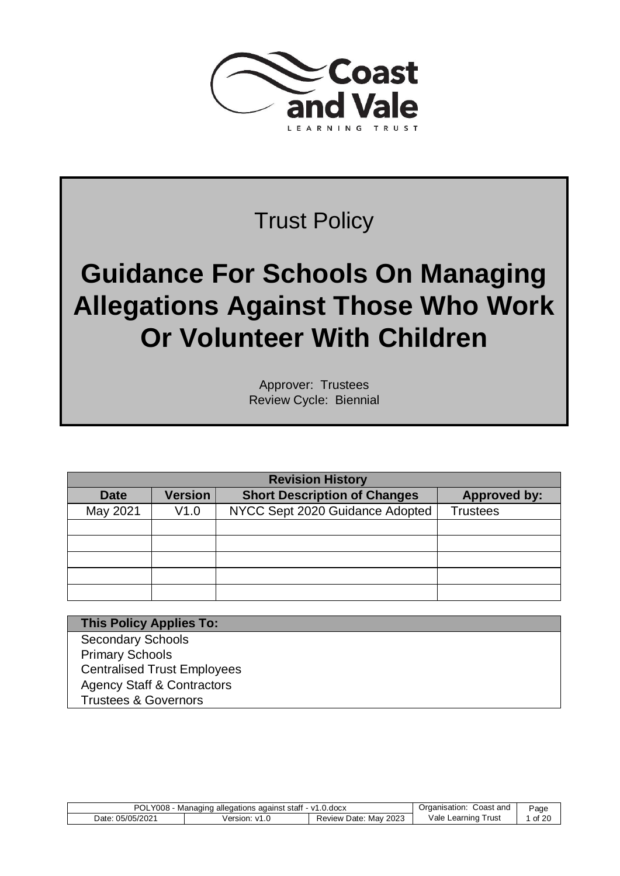

# Trust Policy

# **Guidance For Schools On Managing Allegations Against Those Who Work Or Volunteer With Children**

Approver: Trustees Review Cycle: Biennial

| <b>Revision History</b> |                |                                     |                     |  |
|-------------------------|----------------|-------------------------------------|---------------------|--|
| <b>Date</b>             | <b>Version</b> | <b>Short Description of Changes</b> | <b>Approved by:</b> |  |
| May 2021                | V1.0           | NYCC Sept 2020 Guidance Adopted     | <b>Trustees</b>     |  |
|                         |                |                                     |                     |  |
|                         |                |                                     |                     |  |
|                         |                |                                     |                     |  |
|                         |                |                                     |                     |  |
|                         |                |                                     |                     |  |

**This Policy Applies To:** Secondary Schools Primary Schools Centralised Trust Employees Agency Staff & Contractors Trustees & Governors

| <b>POLY008 -</b> | Managing allegations against staff - v1.0.docx |                                | Coast and<br>Organisation: | Page    |
|------------------|------------------------------------------------|--------------------------------|----------------------------|---------|
| Date: 05/05/2021 | Version:<br>$\sqrt{1}$                         | 2023<br>Mav<br>Date:<br>Review | Vale Learning<br>' rusi    | of $20$ |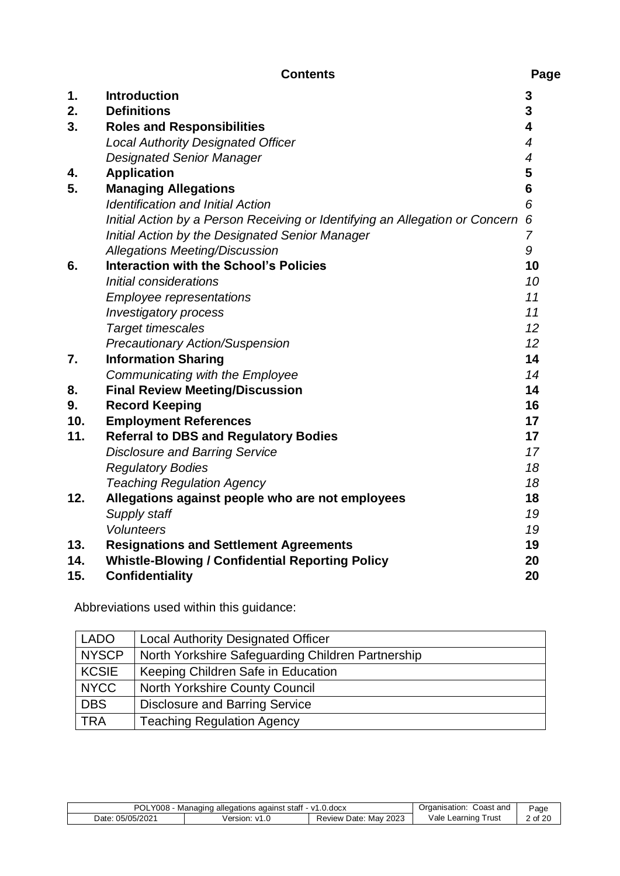|     | <b>Contents</b>                                                              | Page           |
|-----|------------------------------------------------------------------------------|----------------|
| 1.  | <b>Introduction</b>                                                          | 3              |
| 2.  | <b>Definitions</b>                                                           | 3              |
| 3.  | <b>Roles and Responsibilities</b>                                            | 4              |
|     | <b>Local Authority Designated Officer</b>                                    | $\overline{4}$ |
|     | <b>Designated Senior Manager</b>                                             | $\overline{4}$ |
| 4.  | <b>Application</b>                                                           | 5              |
| 5.  | <b>Managing Allegations</b>                                                  | $6\phantom{1}$ |
|     | <b>Identification and Initial Action</b>                                     | 6              |
|     | Initial Action by a Person Receiving or Identifying an Allegation or Concern | 6              |
|     | Initial Action by the Designated Senior Manager                              | $\overline{7}$ |
|     | <b>Allegations Meeting/Discussion</b>                                        | 9              |
| 6.  | <b>Interaction with the School's Policies</b>                                | 10             |
|     | Initial considerations                                                       | 10             |
|     | <b>Employee representations</b>                                              | 11             |
|     | <b>Investigatory process</b>                                                 | 11             |
|     | <b>Target timescales</b>                                                     | 12             |
|     | <b>Precautionary Action/Suspension</b>                                       | 12             |
| 7.  | <b>Information Sharing</b>                                                   | 14             |
|     | Communicating with the Employee                                              | 14             |
| 8.  | <b>Final Review Meeting/Discussion</b>                                       | 14             |
| 9.  | <b>Record Keeping</b>                                                        | 16             |
| 10. | <b>Employment References</b>                                                 | 17             |
| 11. | <b>Referral to DBS and Regulatory Bodies</b>                                 | 17             |
|     | <b>Disclosure and Barring Service</b>                                        | 17             |
|     | <b>Regulatory Bodies</b>                                                     | 18             |
|     | <b>Teaching Regulation Agency</b>                                            | 18             |
| 12. | Allegations against people who are not employees                             | 18             |
|     | Supply staff                                                                 | 19             |
|     | <b>Volunteers</b>                                                            | 19             |
| 13. | <b>Resignations and Settlement Agreements</b>                                | 19             |
| 14. | <b>Whistle-Blowing / Confidential Reporting Policy</b>                       | 20             |
| 15. | <b>Confidentiality</b>                                                       | 20             |

Abbreviations used within this guidance:

| <b>LADO</b>  | <b>Local Authority Designated Officer</b>         |
|--------------|---------------------------------------------------|
| <b>NYSCP</b> | North Yorkshire Safeguarding Children Partnership |
| <b>KCSIE</b> | Keeping Children Safe in Education                |
| <b>NYCC</b>  | <b>North Yorkshire County Council</b>             |
| <b>DBS</b>   | <b>Disclosure and Barring Service</b>             |
| <b>TRA</b>   | <b>Teaching Regulation Agency</b>                 |

| <b>POL</b><br>008<br>0.00c <sub>X</sub><br>stat<br>Managing<br>against<br>allegations<br>$-1/7$ |                  |                               | Coast and<br>sation                    | Page    |
|-------------------------------------------------------------------------------------------------|------------------|-------------------------------|----------------------------------------|---------|
| 05/05/2021<br>⊃ate∵                                                                             | Version<br>$V^7$ | 2023<br>Mav<br>Date<br>Review | ∨ale I<br>rus <sup>t</sup><br>∟earnıno | of $20$ |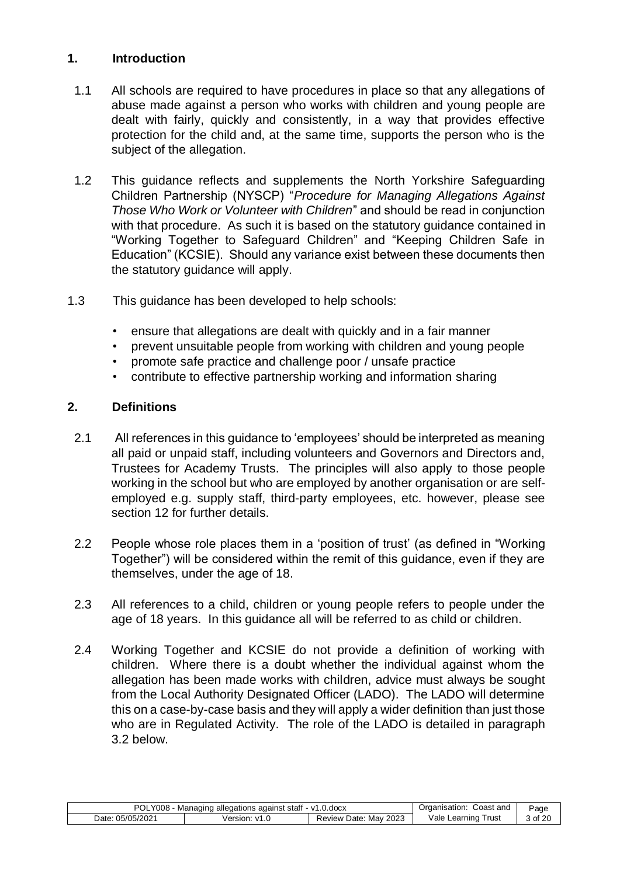# **1. Introduction**

- 1.1 All schools are required to have procedures in place so that any allegations of abuse made against a person who works with children and young people are dealt with fairly, quickly and consistently, in a way that provides effective protection for the child and, at the same time, supports the person who is the subject of the allegation.
- 1.2 This guidance reflects and supplements the North Yorkshire Safeguarding Children Partnership (NYSCP) "*Procedure for Managing Allegations Against Those Who Work or Volunteer with Children*" and should be read in conjunction with that procedure. As such it is based on the statutory guidance contained in "Working Together to Safeguard Children" and "Keeping Children Safe in Education" (KCSIE). Should any variance exist between these documents then the statutory guidance will apply.
- 1.3 This guidance has been developed to help schools:
	- ensure that allegations are dealt with quickly and in a fair manner
	- prevent unsuitable people from working with children and young people
	- promote safe practice and challenge poor / unsafe practice
	- contribute to effective partnership working and information sharing

#### **2. Definitions**

- 2.1 All references in this guidance to 'employees' should be interpreted as meaning all paid or unpaid staff, including volunteers and Governors and Directors and, Trustees for Academy Trusts. The principles will also apply to those people working in the school but who are employed by another organisation or are selfemployed e.g. supply staff, third-party employees, etc. however, please see section 12 for further details.
- 2.2 People whose role places them in a 'position of trust' (as defined in "Working Together") will be considered within the remit of this guidance, even if they are themselves, under the age of 18.
- 2.3 All references to a child, children or young people refers to people under the age of 18 years. In this guidance all will be referred to as child or children.
- 2.4 Working Together and KCSIE do not provide a definition of working with children. Where there is a doubt whether the individual against whom the allegation has been made works with children, advice must always be sought from the Local Authority Designated Officer (LADO). The LADO will determine this on a case-by-case basis and they will apply a wider definition than just those who are in Regulated Activity. The role of the LADO is detailed in paragraph 3.2 below.

| POL.<br>008/        | staf<br>against<br>Managing allegations | $.0.$ doc $x$<br>$-1/7$       | Coast and<br>raanisation:  | Page  |
|---------------------|-----------------------------------------|-------------------------------|----------------------------|-------|
| 05/05/2021<br>Date: | Version<br>$\mathcal{U}^{\mathcal{A}}$  | 2023<br>Mav<br>Date<br>Review | ∨ale I<br>rust<br>∟earnıno | of 20 |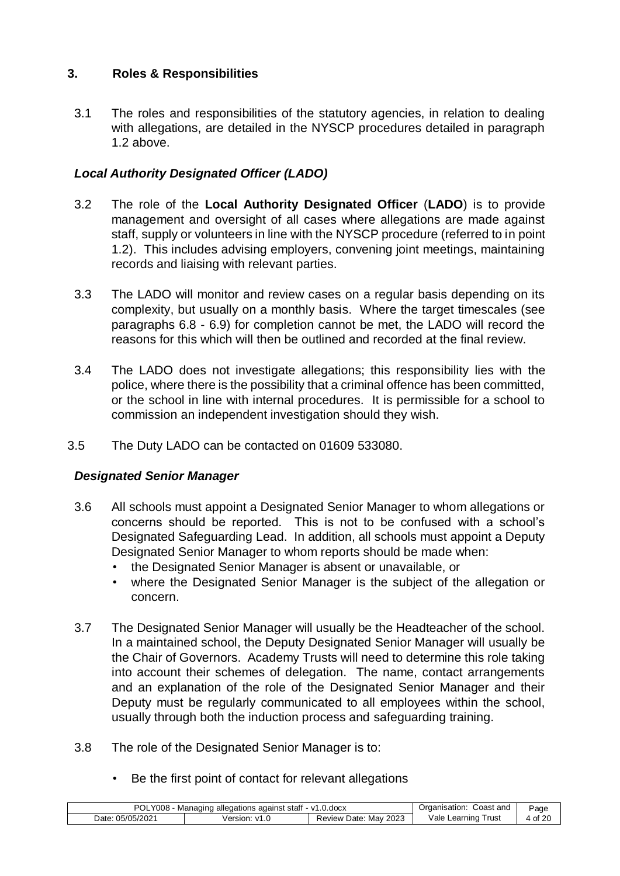# **3. Roles & Responsibilities**

3.1 The roles and responsibilities of the statutory agencies, in relation to dealing with allegations, are detailed in the NYSCP procedures detailed in paragraph 1.2 above.

# *Local Authority Designated Officer (LADO)*

- 3.2 The role of the **Local Authority Designated Officer** (**LADO**) is to provide management and oversight of all cases where allegations are made against staff, supply or volunteers in line with the NYSCP procedure (referred to in point 1.2). This includes advising employers, convening joint meetings, maintaining records and liaising with relevant parties.
- 3.3 The LADO will monitor and review cases on a regular basis depending on its complexity, but usually on a monthly basis. Where the target timescales (see paragraphs 6.8 - 6.9) for completion cannot be met, the LADO will record the reasons for this which will then be outlined and recorded at the final review.
- 3.4 The LADO does not investigate allegations; this responsibility lies with the police, where there is the possibility that a criminal offence has been committed, or the school in line with internal procedures. It is permissible for a school to commission an independent investigation should they wish.
- 3.5 The Duty LADO can be contacted on 01609 533080.

# *Designated Senior Manager*

- 3.6 All schools must appoint a Designated Senior Manager to whom allegations or concerns should be reported. This is not to be confused with a school's Designated Safeguarding Lead. In addition, all schools must appoint a Deputy Designated Senior Manager to whom reports should be made when:
	- the Designated Senior Manager is absent or unavailable, or
	- where the Designated Senior Manager is the subject of the allegation or concern.
- 3.7 The Designated Senior Manager will usually be the Headteacher of the school. In a maintained school, the Deputy Designated Senior Manager will usually be the Chair of Governors. Academy Trusts will need to determine this role taking into account their schemes of delegation. The name, contact arrangements and an explanation of the role of the Designated Senior Manager and their Deputy must be regularly communicated to all employees within the school, usually through both the induction process and safeguarding training.
- 3.8 The role of the Designated Senior Manager is to:
	- Be the first point of contact for relevant allegations

| <b>POL</b><br>Y008<br>against staff<br>.0.docx<br>Managino<br>allegations<br>$-1/1$ |                         |                                | شcast and<br>Organisation: | ⊵age    |
|-------------------------------------------------------------------------------------|-------------------------|--------------------------------|----------------------------|---------|
| 05/05/2021<br>⊃ate:                                                                 | ersion:<br>$\mathbf{v}$ | 2023<br>Mav<br>⊃ate:<br>Review | Vale<br>⊺rust<br>∟earnınɑ  | of $20$ |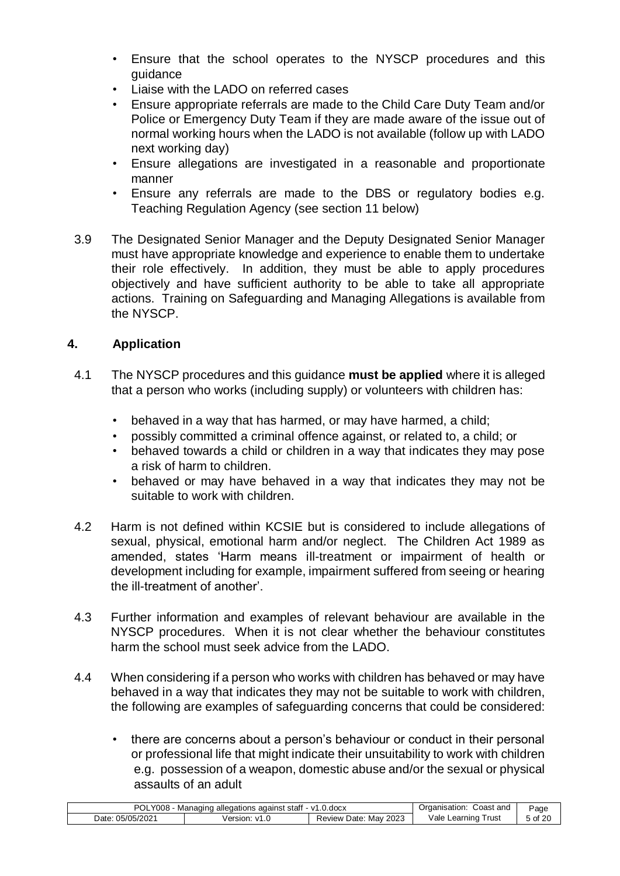- Ensure that the school operates to the NYSCP procedures and this guidance
- Liaise with the LADO on referred cases
- Ensure appropriate referrals are made to the Child Care Duty Team and/or Police or Emergency Duty Team if they are made aware of the issue out of normal working hours when the LADO is not available (follow up with LADO next working day)
- Ensure allegations are investigated in a reasonable and proportionate manner
- Ensure any referrals are made to the DBS or regulatory bodies e.g. Teaching Regulation Agency (see section 11 below)
- 3.9 The Designated Senior Manager and the Deputy Designated Senior Manager must have appropriate knowledge and experience to enable them to undertake their role effectively. In addition, they must be able to apply procedures objectively and have sufficient authority to be able to take all appropriate actions. Training on Safeguarding and Managing Allegations is available from the NYSCP.

# **4. Application**

- 4.1 The NYSCP procedures and this guidance **must be applied** where it is alleged that a person who works (including supply) or volunteers with children has:
	- behaved in a way that has harmed, or may have harmed, a child;
	- possibly committed a criminal offence against, or related to, a child; or
	- behaved towards a child or children in a way that indicates they may pose a risk of harm to children.
	- behaved or may have behaved in a way that indicates they may not be suitable to work with children.
- 4.2 Harm is not defined within KCSIE but is considered to include allegations of sexual, physical, emotional harm and/or neglect. The Children Act 1989 as amended, states 'Harm means ill-treatment or impairment of health or development including for example, impairment suffered from seeing or hearing the ill-treatment of another'.
- 4.3 Further information and examples of relevant behaviour are available in the NYSCP procedures. When it is not clear whether the behaviour constitutes harm the school must seek advice from the LADO.
- 4.4 When considering if a person who works with children has behaved or may have behaved in a way that indicates they may not be suitable to work with children, the following are examples of safeguarding concerns that could be considered:
	- there are concerns about a person's behaviour or conduct in their personal or professional life that might indicate their unsuitability to work with children e.g. possession of a weapon, domestic abuse and/or the sexual or physical assaults of an adult

| POL<br>$\sqrt{2}$<br>0.00c <sub>X</sub><br>50e<br>$\mathcal{M}$<br>Managino<br>against<br>stati<br>allegations |                           |                               | Coast and<br>rganisation<br>.)ro  | Page         |
|----------------------------------------------------------------------------------------------------------------|---------------------------|-------------------------------|-----------------------------------|--------------|
| 5/202<br>ּי ה∩י<br>י/ הר<br>⊃ate:                                                                              | Version<br>۰/1<br>$\cdot$ | 2023<br>Mav<br>Jate<br>Review | _<br>rust<br>ale/<br>earr<br>nınc | of 2r ر<br>∠ |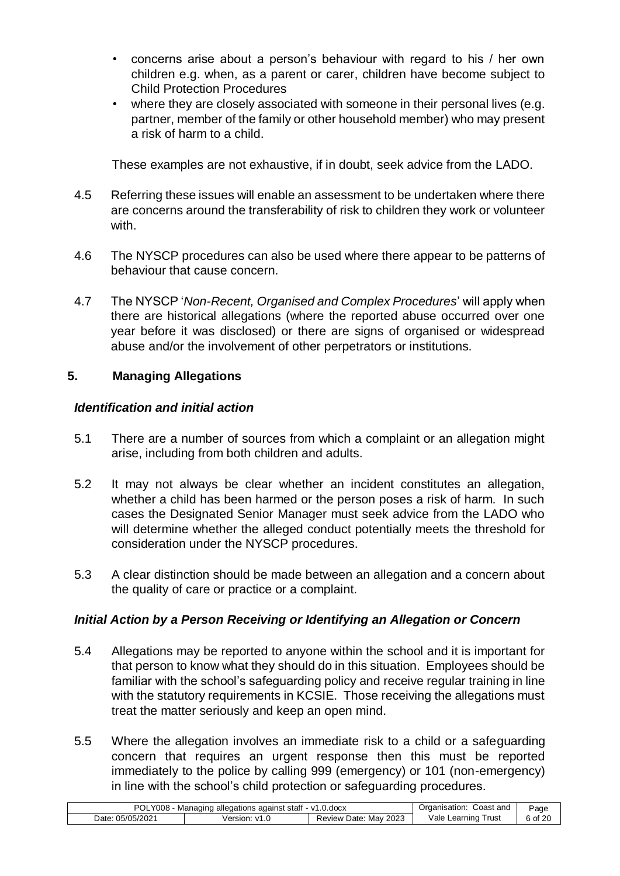- concerns arise about a person's behaviour with regard to his / her own children e.g. when, as a parent or carer, children have become subject to Child Protection Procedures
- where they are closely associated with someone in their personal lives (e.g. partner, member of the family or other household member) who may present a risk of harm to a child.

These examples are not exhaustive, if in doubt, seek advice from the LADO.

- 4.5 Referring these issues will enable an assessment to be undertaken where there are concerns around the transferability of risk to children they work or volunteer with
- 4.6 The NYSCP procedures can also be used where there appear to be patterns of behaviour that cause concern.
- 4.7 The NYSCP '*Non-Recent, Organised and Complex Procedures*' will apply when there are historical allegations (where the reported abuse occurred over one year before it was disclosed) or there are signs of organised or widespread abuse and/or the involvement of other perpetrators or institutions.

#### **5. Managing Allegations**

#### *Identification and initial action*

- 5.1 There are a number of sources from which a complaint or an allegation might arise, including from both children and adults.
- 5.2 It may not always be clear whether an incident constitutes an allegation, whether a child has been harmed or the person poses a risk of harm. In such cases the Designated Senior Manager must seek advice from the LADO who will determine whether the alleged conduct potentially meets the threshold for consideration under the NYSCP procedures.
- 5.3 A clear distinction should be made between an allegation and a concern about the quality of care or practice or a complaint.

# *Initial Action by a Person Receiving or Identifying an Allegation or Concern*

- 5.4 Allegations may be reported to anyone within the school and it is important for that person to know what they should do in this situation. Employees should be familiar with the school's safeguarding policy and receive regular training in line with the statutory requirements in KCSIE. Those receiving the allegations must treat the matter seriously and keep an open mind.
- 5.5 Where the allegation involves an immediate risk to a child or a safeguarding concern that requires an urgent response then this must be reported immediately to the police by calling 999 (emergency) or 101 (non-emergency) in line with the school's child protection or safeguarding procedures.

| <b>POL</b><br>Y008<br>.docx<br>Managinc<br>against<br>staff<br>- v1<br>* alleɑatıo∟ |         |                                | Coast and<br><b>ganisation</b>                       | Page        |
|-------------------------------------------------------------------------------------|---------|--------------------------------|------------------------------------------------------|-------------|
| 05/05/2021<br>Date:                                                                 | /ersion | 2023<br>Mav<br>Date:<br>Review | $\overline{\phantom{a}}$<br>Vale<br>rust<br>∟earnınɑ | $\sim$<br>v |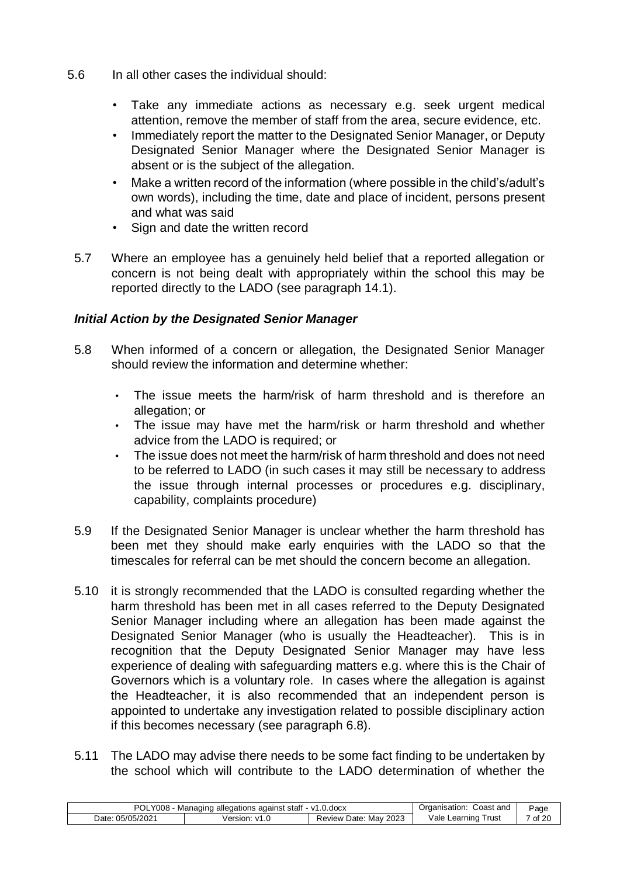- 5.6 In all other cases the individual should:
	- Take any immediate actions as necessary e.g. seek urgent medical attention, remove the member of staff from the area, secure evidence, etc.
	- Immediately report the matter to the Designated Senior Manager, or Deputy Designated Senior Manager where the Designated Senior Manager is absent or is the subject of the allegation.
	- Make a written record of the information (where possible in the child's/adult's own words), including the time, date and place of incident, persons present and what was said
	- Sign and date the written record
	- 5.7 Where an employee has a genuinely held belief that a reported allegation or concern is not being dealt with appropriately within the school this may be reported directly to the LADO (see paragraph 14.1).

#### *Initial Action by the Designated Senior Manager*

- 5.8 When informed of a concern or allegation, the Designated Senior Manager should review the information and determine whether:
	- The issue meets the harm/risk of harm threshold and is therefore an allegation; or
	- The issue may have met the harm/risk or harm threshold and whether advice from the LADO is required; or
	- The issue does not meet the harm/risk of harm threshold and does not need to be referred to LADO (in such cases it may still be necessary to address the issue through internal processes or procedures e.g. disciplinary, capability, complaints procedure)
- 5.9 If the Designated Senior Manager is unclear whether the harm threshold has been met they should make early enquiries with the LADO so that the timescales for referral can be met should the concern become an allegation.
- 5.10 it is strongly recommended that the LADO is consulted regarding whether the harm threshold has been met in all cases referred to the Deputy Designated Senior Manager including where an allegation has been made against the Designated Senior Manager (who is usually the Headteacher). This is in recognition that the Deputy Designated Senior Manager may have less experience of dealing with safeguarding matters e.g. where this is the Chair of Governors which is a voluntary role. In cases where the allegation is against the Headteacher, it is also recommended that an independent person is appointed to undertake any investigation related to possible disciplinary action if this becomes necessary (see paragraph 6.8).
- 5.11 The LADO may advise there needs to be some fact finding to be undertaken by the school which will contribute to the LADO determination of whether the

| POL<br>Y008<br>, against staff<br>$0.$ doc $x$<br>- v1<br>Managing allegations |         |                                | Coast and<br>Organisation:   | Page    |
|--------------------------------------------------------------------------------|---------|--------------------------------|------------------------------|---------|
| 05/05/2021<br>Date:                                                            | /ersion | 2023<br>Mav<br>Date:<br>Review | ∨ale ∟<br>! rust<br>Learning | 7 of 20 |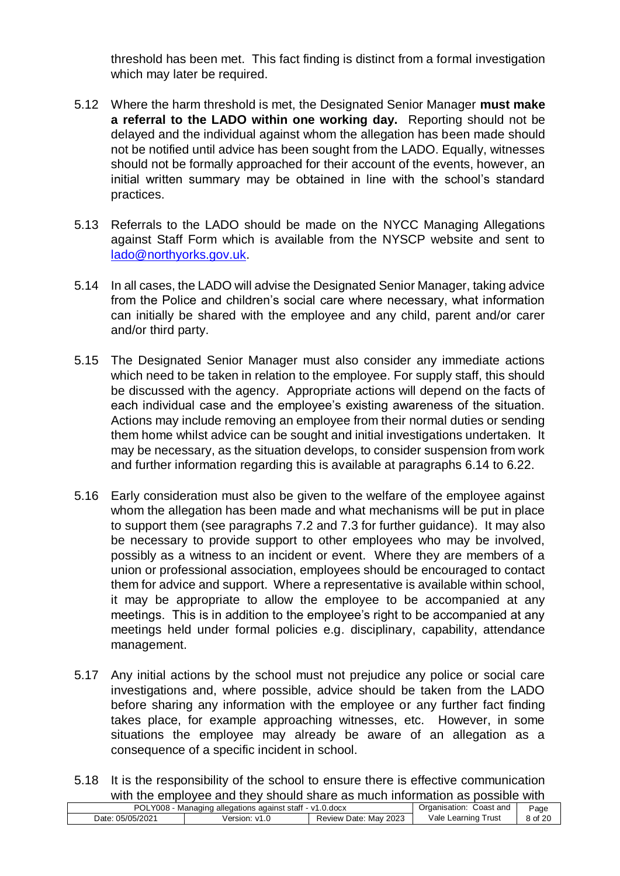threshold has been met. This fact finding is distinct from a formal investigation which may later be required.

- 5.12 Where the harm threshold is met, the Designated Senior Manager **must make a referral to the LADO within one working day.** Reporting should not be delayed and the individual against whom the allegation has been made should not be notified until advice has been sought from the LADO. Equally, witnesses should not be formally approached for their account of the events, however, an initial written summary may be obtained in line with the school's standard practices.
- 5.13 Referrals to the LADO should be made on the NYCC Managing Allegations against Staff Form which is available from the NYSCP website and sent to lado@northyorks.gov.uk.
- 5.14 In all cases, the LADO will advise the Designated Senior Manager, taking advice from the Police and children's social care where necessary, what information can initially be shared with the employee and any child, parent and/or carer and/or third party.
- 5.15 The Designated Senior Manager must also consider any immediate actions which need to be taken in relation to the employee. For supply staff, this should be discussed with the agency. Appropriate actions will depend on the facts of each individual case and the employee's existing awareness of the situation. Actions may include removing an employee from their normal duties or sending them home whilst advice can be sought and initial investigations undertaken. It may be necessary, as the situation develops, to consider suspension from work and further information regarding this is available at paragraphs 6.14 to 6.22.
- 5.16 Early consideration must also be given to the welfare of the employee against whom the allegation has been made and what mechanisms will be put in place to support them (see paragraphs 7.2 and 7.3 for further guidance). It may also be necessary to provide support to other employees who may be involved, possibly as a witness to an incident or event. Where they are members of a union or professional association, employees should be encouraged to contact them for advice and support. Where a representative is available within school, it may be appropriate to allow the employee to be accompanied at any meetings. This is in addition to the employee's right to be accompanied at any meetings held under formal policies e.g. disciplinary, capability, attendance management.
- 5.17 Any initial actions by the school must not prejudice any police or social care investigations and, where possible, advice should be taken from the LADO before sharing any information with the employee or any further fact finding takes place, for example approaching witnesses, etc. However, in some situations the employee may already be aware of an allegation as a consequence of a specific incident in school.
- 5.18 It is the responsibility of the school to ensure there is effective communication with the employee and they should share as much information as possible with

|                  | with the employee and they choald charged mach michington ac pocoloid with |                       |                            |         |
|------------------|----------------------------------------------------------------------------|-----------------------|----------------------------|---------|
|                  | POLY008 - Managing allegations against staff - v1.0.docx                   |                       | Coast and<br>Organisation: | Page    |
| Date: 05/05/2021 | Version: v1.0                                                              | Review Date: May 2023 | Vale Learning Trust        | 8 of 20 |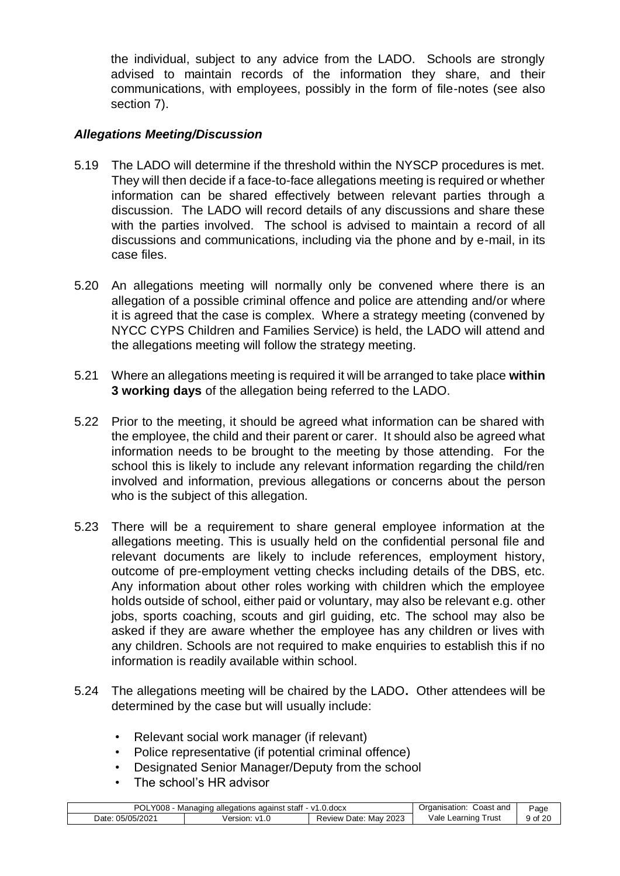the individual, subject to any advice from the LADO. Schools are strongly advised to maintain records of the information they share, and their communications, with employees, possibly in the form of file-notes (see also section 7).

# *Allegations Meeting/Discussion*

- 5.19 The LADO will determine if the threshold within the NYSCP procedures is met. They will then decide if a face-to-face allegations meeting is required or whether information can be shared effectively between relevant parties through a discussion. The LADO will record details of any discussions and share these with the parties involved. The school is advised to maintain a record of all discussions and communications, including via the phone and by e-mail, in its case files.
- 5.20 An allegations meeting will normally only be convened where there is an allegation of a possible criminal offence and police are attending and/or where it is agreed that the case is complex. Where a strategy meeting (convened by NYCC CYPS Children and Families Service) is held, the LADO will attend and the allegations meeting will follow the strategy meeting.
- 5.21 Where an allegations meeting is required it will be arranged to take place **within 3 working days** of the allegation being referred to the LADO.
- 5.22 Prior to the meeting, it should be agreed what information can be shared with the employee, the child and their parent or carer. It should also be agreed what information needs to be brought to the meeting by those attending. For the school this is likely to include any relevant information regarding the child/ren involved and information, previous allegations or concerns about the person who is the subject of this allegation.
- 5.23 There will be a requirement to share general employee information at the allegations meeting. This is usually held on the confidential personal file and relevant documents are likely to include references, employment history, outcome of pre-employment vetting checks including details of the DBS, etc. Any information about other roles working with children which the employee holds outside of school, either paid or voluntary, may also be relevant e.g. other jobs, sports coaching, scouts and girl guiding, etc. The school may also be asked if they are aware whether the employee has any children or lives with any children. Schools are not required to make enquiries to establish this if no information is readily available within school.
- 5.24 The allegations meeting will be chaired by the LADO**.** Other attendees will be determined by the case but will usually include:
	- Relevant social work manager (if relevant)
	- Police representative (if potential criminal offence)
	- Designated Senior Manager/Deputy from the school
	- The school's HR advisor

| POLY008<br>· - ∨1.0.docx<br>⊧alleɑations aɑainst staff<br>Managine |                        |                                  | Coast and<br>Traanisation: | Page |
|--------------------------------------------------------------------|------------------------|----------------------------------|----------------------------|------|
| 05/05/2021<br>Date                                                 | /ersion:<br>$\sqrt{1}$ | 2023<br>Mav<br>Review L<br>Date: | ⊺ิrusเ<br>Vale<br>Learning | ് വി |
|                                                                    |                        |                                  |                            |      |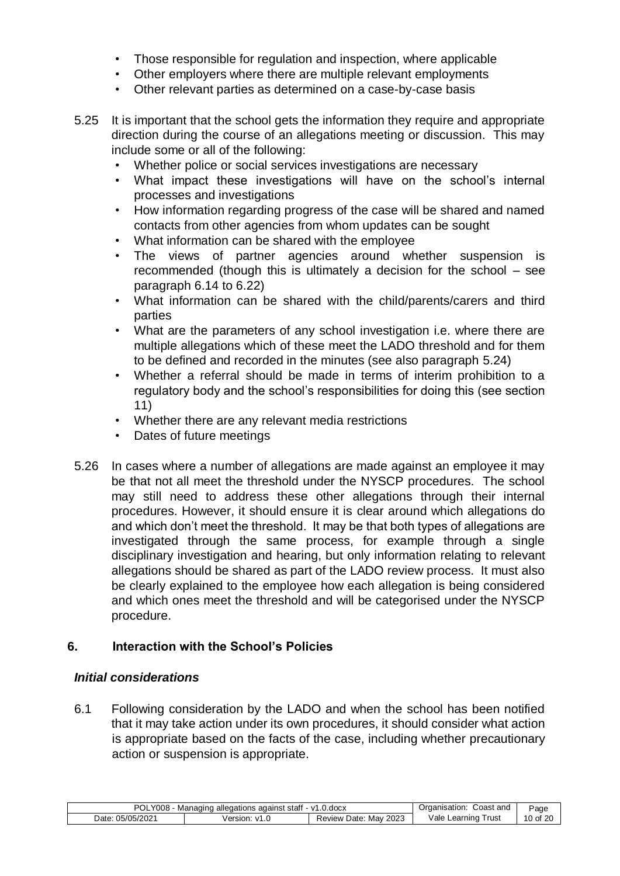- Those responsible for regulation and inspection, where applicable
- Other employers where there are multiple relevant employments
- Other relevant parties as determined on a case-by-case basis
- 5.25 It is important that the school gets the information they require and appropriate direction during the course of an allegations meeting or discussion. This may include some or all of the following:
	- Whether police or social services investigations are necessary
	- What impact these investigations will have on the school's internal processes and investigations
	- How information regarding progress of the case will be shared and named contacts from other agencies from whom updates can be sought
	- What information can be shared with the employee
	- The views of partner agencies around whether suspension is recommended (though this is ultimately a decision for the school – see paragraph 6.14 to 6.22)
	- What information can be shared with the child/parents/carers and third parties
	- What are the parameters of any school investigation i.e. where there are multiple allegations which of these meet the LADO threshold and for them to be defined and recorded in the minutes (see also paragraph 5.24)
	- Whether a referral should be made in terms of interim prohibition to a regulatory body and the school's responsibilities for doing this (see section 11)
	- Whether there are any relevant media restrictions
	- Dates of future meetings
- 5.26 In cases where a number of allegations are made against an employee it may be that not all meet the threshold under the NYSCP procedures. The school may still need to address these other allegations through their internal procedures. However, it should ensure it is clear around which allegations do and which don't meet the threshold. It may be that both types of allegations are investigated through the same process, for example through a single disciplinary investigation and hearing, but only information relating to relevant allegations should be shared as part of the LADO review process. It must also be clearly explained to the employee how each allegation is being considered and which ones meet the threshold and will be categorised under the NYSCP procedure.

# **6. Interaction with the School's Policies**

# *Initial considerations*

6.1 Following consideration by the LADO and when the school has been notified that it may take action under its own procedures, it should consider what action is appropriate based on the facts of the case, including whether precautionary action or suspension is appropriate.

| POL<br>Y008<br>.docx<br>Managinc<br>allegations<br>against<br>stat<br>$\mathbf{v}$ |                      | Coast and<br>Organisation:    | Page                                   |               |
|------------------------------------------------------------------------------------|----------------------|-------------------------------|----------------------------------------|---------------|
| /202<br>ገፍ.<br>י/ הר<br>⊃ate:                                                      | Version <sup>®</sup> | 2023<br>Date<br>Mav<br>⊀eview | –<br>Vale<br>rust<br>_ear <sup>,</sup> | $\circ$ of 20 |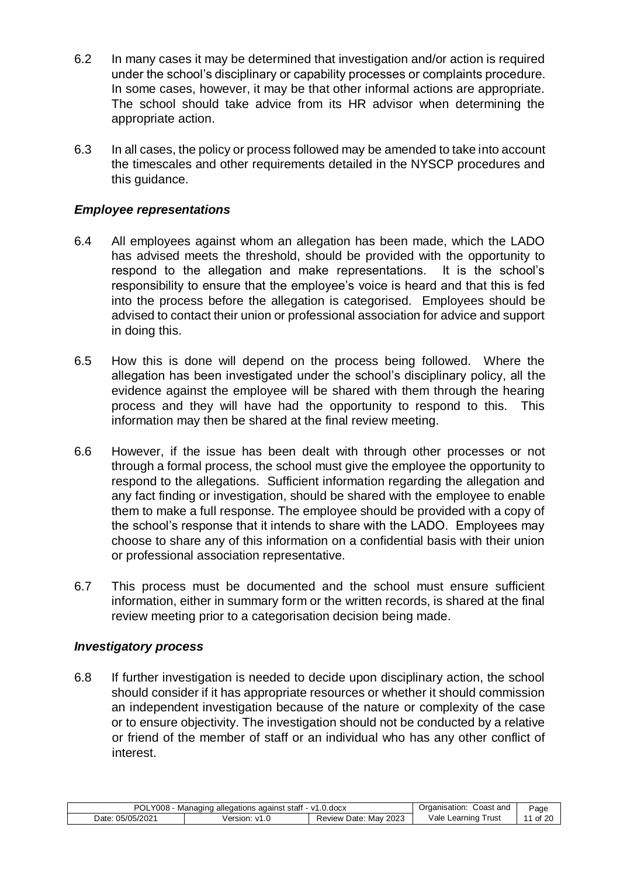- 6.2 In many cases it may be determined that investigation and/or action is required under the school's disciplinary or capability processes or complaints procedure. In some cases, however, it may be that other informal actions are appropriate. The school should take advice from its HR advisor when determining the appropriate action.
- 6.3 In all cases, the policy or process followed may be amended to take into account the timescales and other requirements detailed in the NYSCP procedures and this quidance.

#### *Employee representations*

- 6.4 All employees against whom an allegation has been made, which the LADO has advised meets the threshold, should be provided with the opportunity to respond to the allegation and make representations. It is the school's responsibility to ensure that the employee's voice is heard and that this is fed into the process before the allegation is categorised. Employees should be advised to contact their union or professional association for advice and support in doing this.
- 6.5 How this is done will depend on the process being followed. Where the allegation has been investigated under the school's disciplinary policy, all the evidence against the employee will be shared with them through the hearing process and they will have had the opportunity to respond to this. This information may then be shared at the final review meeting.
- 6.6 However, if the issue has been dealt with through other processes or not through a formal process, the school must give the employee the opportunity to respond to the allegations. Sufficient information regarding the allegation and any fact finding or investigation, should be shared with the employee to enable them to make a full response. The employee should be provided with a copy of the school's response that it intends to share with the LADO. Employees may choose to share any of this information on a confidential basis with their union or professional association representative.
- 6.7 This process must be documented and the school must ensure sufficient information, either in summary form or the written records, is shared at the final review meeting prior to a categorisation decision being made.

#### *Investigatory process*

6.8 If further investigation is needed to decide upon disciplinary action, the school should consider if it has appropriate resources or whether it should commission an independent investigation because of the nature or complexity of the case or to ensure objectivity. The investigation should not be conducted by a relative or friend of the member of staff or an individual who has any other conflict of interest.

| POL<br>.docx<br>allegations<br>stat<br>≅adains∟<br>Managin<br>$\cdot$<br>uuc |         | Coast and<br>anisation:<br>⊃rɑaı | Page                     |          |
|------------------------------------------------------------------------------|---------|----------------------------------|--------------------------|----------|
| /202<br>ገ<.<br>ハトハ<br>Jate:                                                  | √ersior | 2023<br>Mav<br>⊃ate:<br>⊀eview   | Vale<br>rust<br>Learninc | 20<br>Οt |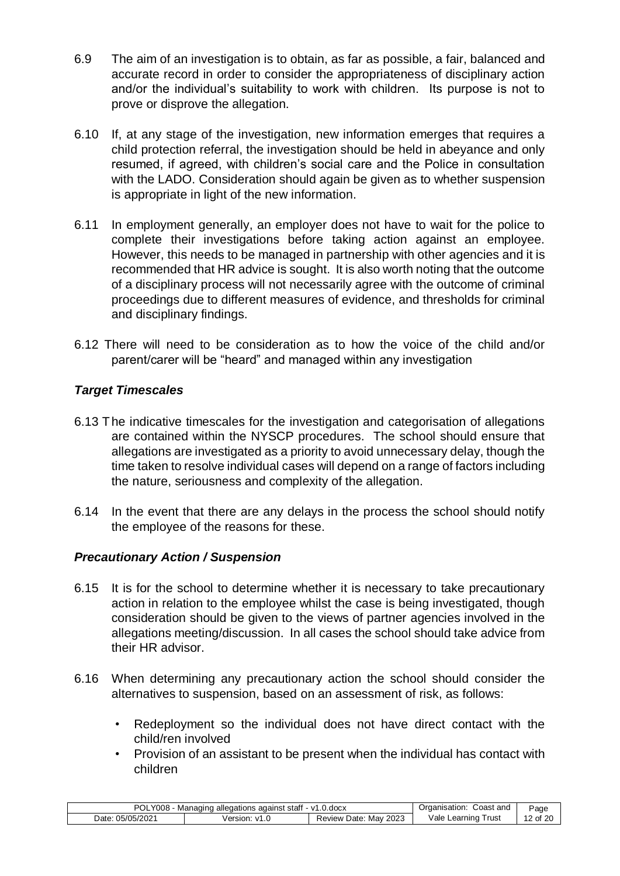- 6.9 The aim of an investigation is to obtain, as far as possible, a fair, balanced and accurate record in order to consider the appropriateness of disciplinary action and/or the individual's suitability to work with children. Its purpose is not to prove or disprove the allegation.
- 6.10 If, at any stage of the investigation, new information emerges that requires a child protection referral, the investigation should be held in abeyance and only resumed, if agreed, with children's social care and the Police in consultation with the LADO. Consideration should again be given as to whether suspension is appropriate in light of the new information.
- 6.11 In employment generally, an employer does not have to wait for the police to complete their investigations before taking action against an employee. However, this needs to be managed in partnership with other agencies and it is recommended that HR advice is sought. It is also worth noting that the outcome of a disciplinary process will not necessarily agree with the outcome of criminal proceedings due to different measures of evidence, and thresholds for criminal and disciplinary findings.
- 6.12 There will need to be consideration as to how the voice of the child and/or parent/carer will be "heard" and managed within any investigation

# *Target Timescales*

- 6.13 The indicative timescales for the investigation and categorisation of allegations are contained within the NYSCP procedures. The school should ensure that allegations are investigated as a priority to avoid unnecessary delay, though the time taken to resolve individual cases will depend on a range of factors including the nature, seriousness and complexity of the allegation.
- 6.14 In the event that there are any delays in the process the school should notify the employee of the reasons for these.

# *Precautionary Action / Suspension*

- 6.15 It is for the school to determine whether it is necessary to take precautionary action in relation to the employee whilst the case is being investigated, though consideration should be given to the views of partner agencies involved in the allegations meeting/discussion. In all cases the school should take advice from their HR advisor.
- 6.16 When determining any precautionary action the school should consider the alternatives to suspension, based on an assessment of risk, as follows:
	- Redeployment so the individual does not have direct contact with the child/ren involved
	- Provision of an assistant to be present when the individual has contact with children

| <b>POL</b><br>Y008<br>against staff<br>- v1.0.docx<br>Managing<br>allegations |                | شcast and<br>:Jraanisation     | ⊵age                      |          |
|-------------------------------------------------------------------------------|----------------|--------------------------------|---------------------------|----------|
| 05/05/2021<br>⊃ate:                                                           | ersion:<br>1/1 | 2023<br>Mav<br>Review<br>⊃ate: | Vale<br>⊺rust<br>Learning | 12 of 20 |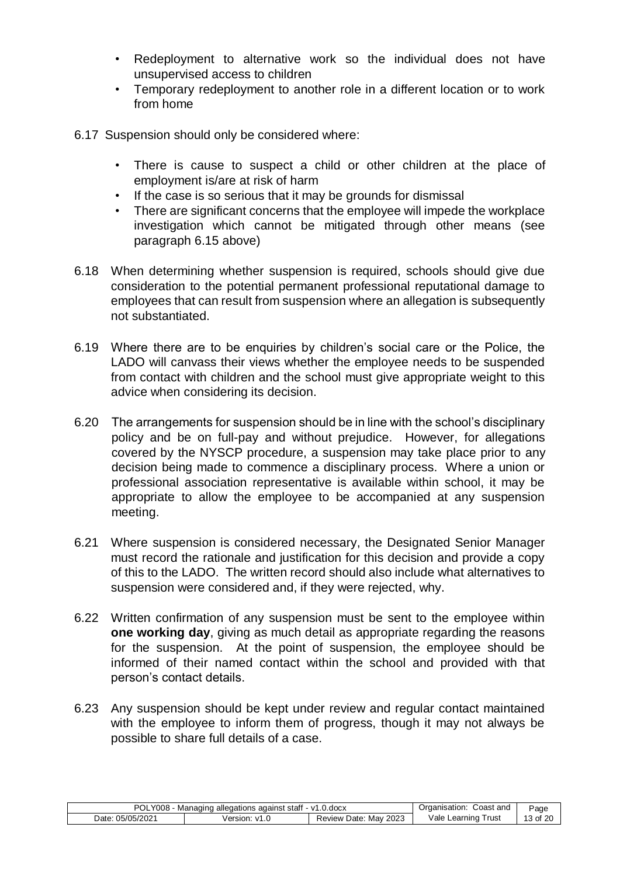- Redeployment to alternative work so the individual does not have unsupervised access to children
- Temporary redeployment to another role in a different location or to work from home
- 6.17 Suspension should only be considered where:
	- There is cause to suspect a child or other children at the place of employment is/are at risk of harm
	- If the case is so serious that it may be grounds for dismissal
	- There are significant concerns that the employee will impede the workplace investigation which cannot be mitigated through other means (see paragraph 6.15 above)
- 6.18 When determining whether suspension is required, schools should give due consideration to the potential permanent professional reputational damage to employees that can result from suspension where an allegation is subsequently not substantiated.
- 6.19 Where there are to be enquiries by children's social care or the Police, the LADO will canvass their views whether the employee needs to be suspended from contact with children and the school must give appropriate weight to this advice when considering its decision.
- 6.20 The arrangements for suspension should be in line with the school's disciplinary policy and be on full-pay and without prejudice. However, for allegations covered by the NYSCP procedure, a suspension may take place prior to any decision being made to commence a disciplinary process. Where a union or professional association representative is available within school, it may be appropriate to allow the employee to be accompanied at any suspension meeting.
- 6.21 Where suspension is considered necessary, the Designated Senior Manager must record the rationale and justification for this decision and provide a copy of this to the LADO. The written record should also include what alternatives to suspension were considered and, if they were rejected, why.
- 6.22 Written confirmation of any suspension must be sent to the employee within **one working day**, giving as much detail as appropriate regarding the reasons for the suspension. At the point of suspension, the employee should be informed of their named contact within the school and provided with that person's contact details.
- 6.23 Any suspension should be kept under review and regular contact maintained with the employee to inform them of progress, though it may not always be possible to share full details of a case.

| <b>POL</b><br>.0.docx<br>. staff<br>$-1/1$<br>against<br>allegations<br>Managino |                                        | Coast and<br>Jrganisation:     | ⊵age                     |                      |
|----------------------------------------------------------------------------------|----------------------------------------|--------------------------------|--------------------------|----------------------|
| 05/05/2021<br>Date                                                               | /ersion<br>$\mathcal{M}^{\mathcal{A}}$ | 2023<br>Mav<br>⊃ate:<br>Review | vale<br>rust<br>∟earnın∩ | $\sim$<br>ാറ<br>. of |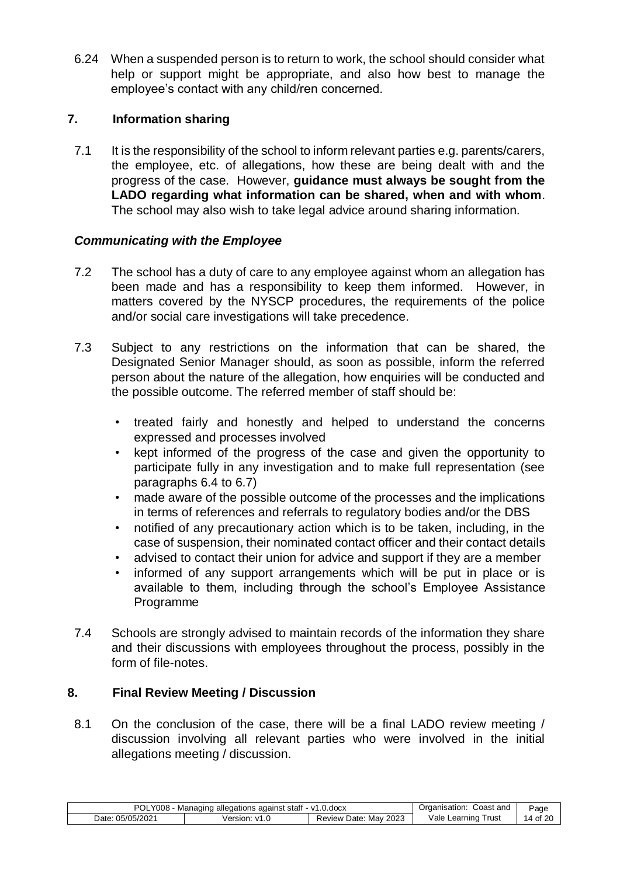6.24 When a suspended person is to return to work, the school should consider what help or support might be appropriate, and also how best to manage the employee's contact with any child/ren concerned.

# **7. Information sharing**

7.1 It is the responsibility of the school to inform relevant parties e.g. parents/carers, the employee, etc. of allegations, how these are being dealt with and the progress of the case. However, **guidance must always be sought from the LADO regarding what information can be shared, when and with whom**. The school may also wish to take legal advice around sharing information.

# *Communicating with the Employee*

- 7.2 The school has a duty of care to any employee against whom an allegation has been made and has a responsibility to keep them informed. However, in matters covered by the NYSCP procedures, the requirements of the police and/or social care investigations will take precedence.
- 7.3 Subject to any restrictions on the information that can be shared, the Designated Senior Manager should, as soon as possible, inform the referred person about the nature of the allegation, how enquiries will be conducted and the possible outcome. The referred member of staff should be:
	- treated fairly and honestly and helped to understand the concerns expressed and processes involved
	- kept informed of the progress of the case and given the opportunity to participate fully in any investigation and to make full representation (see paragraphs 6.4 to 6.7)
	- made aware of the possible outcome of the processes and the implications in terms of references and referrals to regulatory bodies and/or the DBS
	- notified of any precautionary action which is to be taken, including, in the case of suspension, their nominated contact officer and their contact details
	- advised to contact their union for advice and support if they are a member
	- informed of any support arrangements which will be put in place or is available to them, including through the school's Employee Assistance Programme
- 7.4 Schools are strongly advised to maintain records of the information they share and their discussions with employees throughout the process, possibly in the form of file-notes.

# **8. Final Review Meeting / Discussion**

8.1 On the conclusion of the case, there will be a final LADO review meeting / discussion involving all relevant parties who were involved in the initial allegations meeting / discussion.

| <b>POL</b><br>008/<br>$-$ v1.0.docx<br>allegations<br>. staff<br>against<br>Managing |         | Coast and<br>"ganisation:      | Page                                      |                       |
|--------------------------------------------------------------------------------------|---------|--------------------------------|-------------------------------------------|-----------------------|
| 05/05/2021<br>Date:                                                                  | /ersion | 2023<br>Mav<br>Review<br>Date: | ∨ale<br>rust<br>_ear <sup>.</sup><br>nına | ∼÷<br>$\Lambda$<br>vı |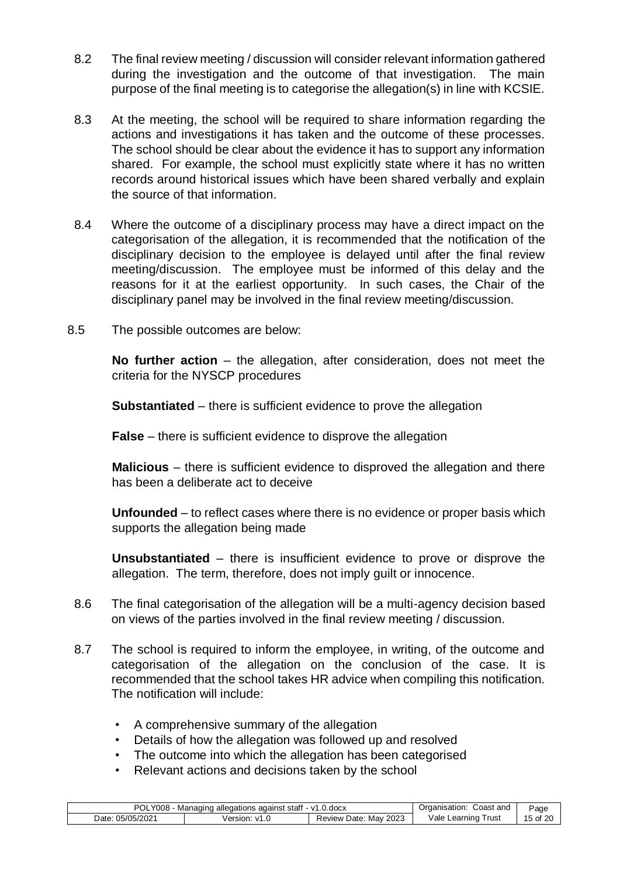- 8.2 The final review meeting / discussion will consider relevant information gathered during the investigation and the outcome of that investigation. The main purpose of the final meeting is to categorise the allegation(s) in line with KCSIE.
- 8.3 At the meeting, the school will be required to share information regarding the actions and investigations it has taken and the outcome of these processes. The school should be clear about the evidence it has to support any information shared. For example, the school must explicitly state where it has no written records around historical issues which have been shared verbally and explain the source of that information.
- 8.4 Where the outcome of a disciplinary process may have a direct impact on the categorisation of the allegation, it is recommended that the notification of the disciplinary decision to the employee is delayed until after the final review meeting/discussion. The employee must be informed of this delay and the reasons for it at the earliest opportunity. In such cases, the Chair of the disciplinary panel may be involved in the final review meeting/discussion.
- 8.5 The possible outcomes are below:

**No further action** – the allegation, after consideration, does not meet the criteria for the NYSCP procedures

**Substantiated** – there is sufficient evidence to prove the allegation

**False** – there is sufficient evidence to disprove the allegation

**Malicious** – there is sufficient evidence to disproved the allegation and there has been a deliberate act to deceive

**Unfounded** – to reflect cases where there is no evidence or proper basis which supports the allegation being made

**Unsubstantiated** – there is insufficient evidence to prove or disprove the allegation. The term, therefore, does not imply guilt or innocence.

- 8.6 The final categorisation of the allegation will be a multi-agency decision based on views of the parties involved in the final review meeting / discussion.
- 8.7 The school is required to inform the employee, in writing, of the outcome and categorisation of the allegation on the conclusion of the case. It is recommended that the school takes HR advice when compiling this notification. The notification will include:
	- A comprehensive summary of the allegation
	- Details of how the allegation was followed up and resolved
	- The outcome into which the allegation has been categorised
	- Relevant actions and decisions taken by the school

| <b>POL</b><br>Y008<br>.0.docx<br>against staff<br>$\mathsf{M}$ 1<br>, allegations<br>Managino |                          |                                | Coast and<br>Organisation:            | Page       |
|-----------------------------------------------------------------------------------------------|--------------------------|--------------------------------|---------------------------------------|------------|
| 05/05/2021<br>Date:                                                                           | 'ersion:<br>$\mathbf{v}$ | 2023<br>Mav<br>Date.<br>Review | ⊺rus <sup>.</sup><br>Vale<br>∟earnıno | 15<br>പ്പറ |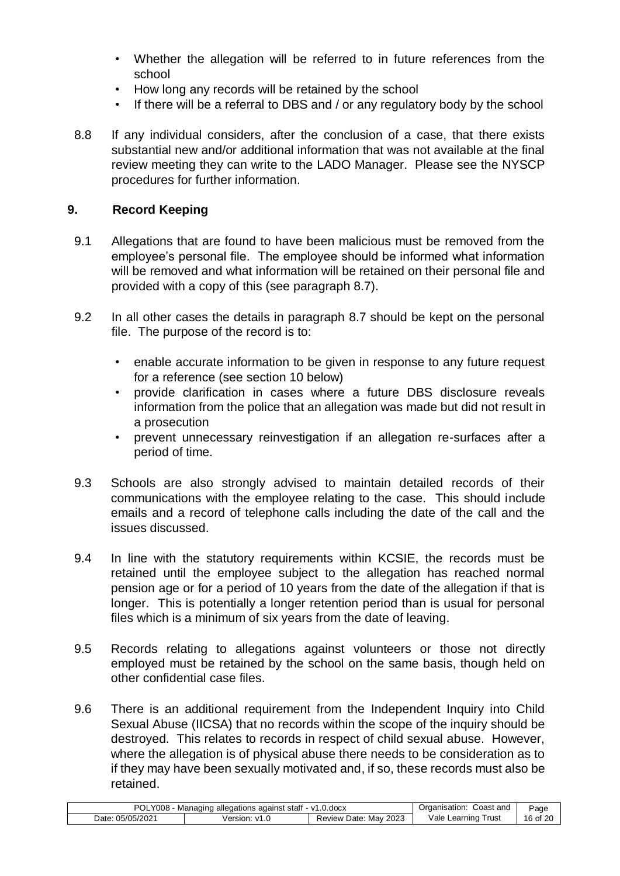- Whether the allegation will be referred to in future references from the school
- How long any records will be retained by the school
- If there will be a referral to DBS and / or any regulatory body by the school
- 8.8 If any individual considers, after the conclusion of a case, that there exists substantial new and/or additional information that was not available at the final review meeting they can write to the LADO Manager. Please see the NYSCP procedures for further information.

# **9. Record Keeping**

- 9.1 Allegations that are found to have been malicious must be removed from the employee's personal file. The employee should be informed what information will be removed and what information will be retained on their personal file and provided with a copy of this (see paragraph 8.7).
- 9.2 In all other cases the details in paragraph 8.7 should be kept on the personal file. The purpose of the record is to:
	- enable accurate information to be given in response to any future request for a reference (see section 10 below)
	- provide clarification in cases where a future DBS disclosure reveals information from the police that an allegation was made but did not result in a prosecution
	- prevent unnecessary reinvestigation if an allegation re-surfaces after a period of time.
- 9.3 Schools are also strongly advised to maintain detailed records of their communications with the employee relating to the case. This should include emails and a record of telephone calls including the date of the call and the issues discussed.
- 9.4 In line with the statutory requirements within KCSIE, the records must be retained until the employee subject to the allegation has reached normal pension age or for a period of 10 years from the date of the allegation if that is longer. This is potentially a longer retention period than is usual for personal files which is a minimum of six years from the date of leaving.
- 9.5 Records relating to allegations against volunteers or those not directly employed must be retained by the school on the same basis, though held on other confidential case files.
- 9.6 There is an additional requirement from the Independent Inquiry into Child Sexual Abuse (IICSA) that no records within the scope of the inquiry should be destroyed. This relates to records in respect of child sexual abuse. However, where the allegation is of physical abuse there needs to be consideration as to if they may have been sexually motivated and, if so, these records must also be retained.

| POLY008<br>. staff<br>$-$ v1.0.docx<br>⊧ alleɑations aɑainst :<br>- Managing |                                 | Coast and<br>Organisation:     | Page                       |                         |
|------------------------------------------------------------------------------|---------------------------------|--------------------------------|----------------------------|-------------------------|
| 05/05/2021<br>Date:                                                          | Version:<br>$\mathbf{v}$<br>۱.۷ | 2023<br>Review<br>Mav<br>Date: | ale/<br>' rust<br>Learning | 16 <sub>of</sub><br>-20 |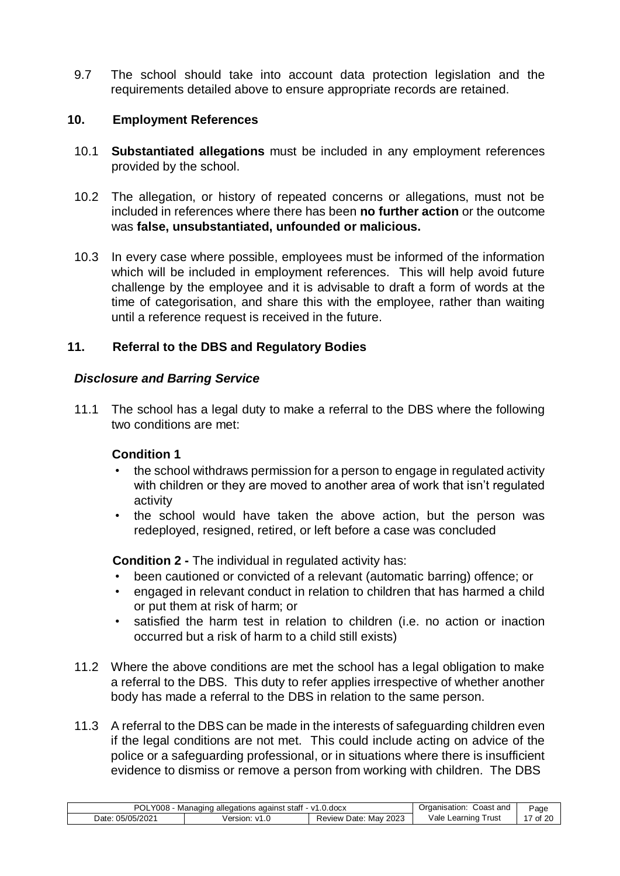9.7 The school should take into account data protection legislation and the requirements detailed above to ensure appropriate records are retained.

#### **10. Employment References**

- 10.1 **Substantiated allegations** must be included in any employment references provided by the school.
- 10.2 The allegation, or history of repeated concerns or allegations, must not be included in references where there has been **no further action** or the outcome was **false, unsubstantiated, unfounded or malicious.**
- 10.3 In every case where possible, employees must be informed of the information which will be included in employment references. This will help avoid future challenge by the employee and it is advisable to draft a form of words at the time of categorisation, and share this with the employee, rather than waiting until a reference request is received in the future.

#### **11. Referral to the DBS and Regulatory Bodies**

#### *Disclosure and Barring Service*

11.1 The school has a legal duty to make a referral to the DBS where the following two conditions are met:

#### **Condition 1**

- the school withdraws permission for a person to engage in regulated activity with children or they are moved to another area of work that isn't regulated activity
- the school would have taken the above action, but the person was redeployed, resigned, retired, or left before a case was concluded

**Condition 2 -** The individual in regulated activity has:

- been cautioned or convicted of a relevant (automatic barring) offence; or
- engaged in relevant conduct in relation to children that has harmed a child or put them at risk of harm; or
- satisfied the harm test in relation to children (i.e. no action or inaction occurred but a risk of harm to a child still exists)
- 11.2 Where the above conditions are met the school has a legal obligation to make a referral to the DBS. This duty to refer applies irrespective of whether another body has made a referral to the DBS in relation to the same person.
- 11.3 A referral to the DBS can be made in the interests of safeguarding children even if the legal conditions are not met. This could include acting on advice of the police or a safeguarding professional, or in situations where there is insufficient evidence to dismiss or remove a person from working with children. The DBS

| וחם<br><b>Y008</b> .<br>. v1<br>.docx<br>stah<br>allegations<br>against<br>Managinc<br>'UL |                 | ∴oast and<br>$n + n$<br>)raanis | ⊵age                     |          |
|--------------------------------------------------------------------------------------------|-----------------|---------------------------------|--------------------------|----------|
| 5/202<br>⊃ate:<br>೧೯/೧೯                                                                    | 'ersion.<br>1.U | 2023<br>Mav<br>Date<br>Review   | √ale<br>_earnınc<br>rust | οf<br>ZU |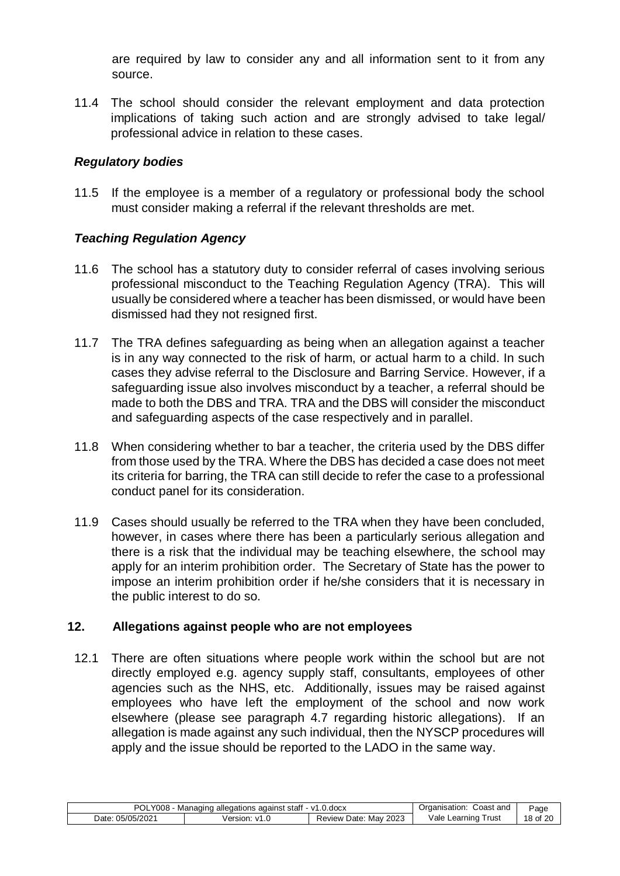are required by law to consider any and all information sent to it from any source.

11.4 The school should consider the relevant employment and data protection implications of taking such action and are strongly advised to take legal/ professional advice in relation to these cases.

# *Regulatory bodies*

11.5 If the employee is a member of a regulatory or professional body the school must consider making a referral if the relevant thresholds are met.

# *Teaching Regulation Agency*

- 11.6 The school has a statutory duty to consider referral of cases involving serious professional misconduct to the Teaching Regulation Agency (TRA). This will usually be considered where a teacher has been dismissed, or would have been dismissed had they not resigned first.
- 11.7 The TRA defines safeguarding as being when an allegation against a teacher is in any way connected to the risk of harm, or actual harm to a child. In such cases they advise referral to the Disclosure and Barring Service. However, if a safeguarding issue also involves misconduct by a teacher, a referral should be made to both the DBS and TRA. TRA and the DBS will consider the misconduct and safeguarding aspects of the case respectively and in parallel.
- 11.8 When considering whether to bar a teacher, the criteria used by the DBS differ from those used by the TRA. Where the DBS has decided a case does not meet its criteria for barring, the TRA can still decide to refer the case to a professional conduct panel for its consideration.
- 11.9 Cases should usually be referred to the TRA when they have been concluded, however, in cases where there has been a particularly serious allegation and there is a risk that the individual may be teaching elsewhere, the school may apply for an interim prohibition order. The Secretary of State has the power to impose an interim prohibition order if he/she considers that it is necessary in the public interest to do so.

# **12. Allegations against people who are not employees**

12.1 There are often situations where people work within the school but are not directly employed e.g. agency supply staff, consultants, employees of other agencies such as the NHS, etc. Additionally, issues may be raised against employees who have left the employment of the school and now work elsewhere (please see paragraph 4.7 regarding historic allegations). If an allegation is made against any such individual, then the NYSCP procedures will apply and the issue should be reported to the LADO in the same way.

| POL<br>Y008<br>.docx<br>allegations<br>against<br>Managin<br>stati<br>v |                      | Coast and<br>Organisation:    | Page                     |                |
|-------------------------------------------------------------------------|----------------------|-------------------------------|--------------------------|----------------|
| /05/202<br>י/ הר<br>⊃ate <sup>∙</sup>                                   | Version <sup>®</sup> | 2023<br>Mav<br>Date<br>Review | Vale<br>rust<br>Learninc | 18<br>20<br>οt |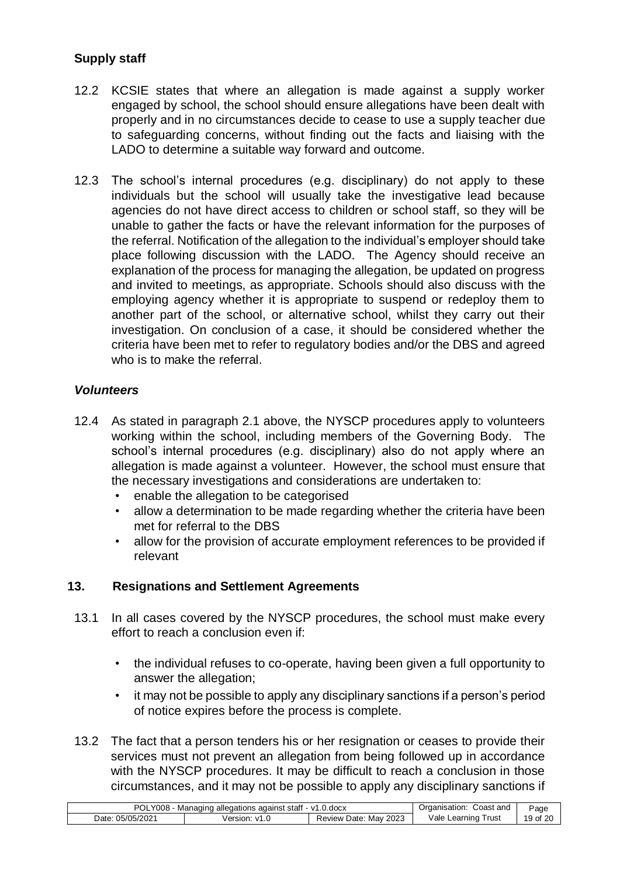# **Supply staff**

- 12.2 KCSIE states that where an allegation is made against a supply worker engaged by school, the school should ensure allegations have been dealt with properly and in no circumstances decide to cease to use a supply teacher due to safeguarding concerns, without finding out the facts and liaising with the LADO to determine a suitable way forward and outcome.
- 12.3 The school's internal procedures (e.g. disciplinary) do not apply to these individuals but the school will usually take the investigative lead because agencies do not have direct access to children or school staff, so they will be unable to gather the facts or have the relevant information for the purposes of the referral. Notification of the allegation to the individual's employer should take place following discussion with the LADO. The Agency should receive an explanation of the process for managing the allegation, be updated on progress and invited to meetings, as appropriate. Schools should also discuss with the employing agency whether it is appropriate to suspend or redeploy them to another part of the school, or alternative school, whilst they carry out their investigation. On conclusion of a case, it should be considered whether the criteria have been met to refer to regulatory bodies and/or the DBS and agreed who is to make the referral.

#### *Volunteers*

- 12.4 As stated in paragraph 2.1 above, the NYSCP procedures apply to volunteers working within the school, including members of the Governing Body. The school's internal procedures (e.g. disciplinary) also do not apply where an allegation is made against a volunteer. However, the school must ensure that the necessary investigations and considerations are undertaken to:
	- enable the allegation to be categorised
	- allow a determination to be made regarding whether the criteria have been met for referral to the DBS
	- allow for the provision of accurate employment references to be provided if relevant

#### **13. Resignations and Settlement Agreements**

- 13.1 In all cases covered by the NYSCP procedures, the school must make every effort to reach a conclusion even if:
	- the individual refuses to co-operate, having been given a full opportunity to answer the allegation;
	- it may not be possible to apply any disciplinary sanctions if a person's period of notice expires before the process is complete.
- 13.2 The fact that a person tenders his or her resignation or ceases to provide their services must not prevent an allegation from being followed up in accordance with the NYSCP procedures. It may be difficult to reach a conclusion in those circumstances, and it may not be possible to apply any disciplinary sanctions if

| POLY008<br>1 allegations against staff - v1.0.docx<br>Managino |                        | Coast and<br>:Jraanisation     | Page                           |       |
|----------------------------------------------------------------|------------------------|--------------------------------|--------------------------------|-------|
| 05/05/2021<br>Date:                                            | Version:<br>$\sqrt{1}$ | 2023<br>Mav<br>Review<br>⊤Date | √ale I<br>' rust<br>∟earnıng ' | 19 of |